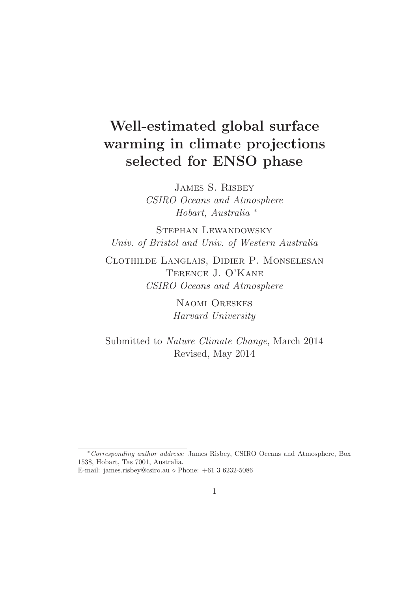# Well-estimated global surface warming in climate projections selected for ENSO phase

James S. Risbey *CSIRO Oceans and Atmosphere Hobart, Australia* <sup>∗</sup>

Stephan Lewandowsky *Univ. of Bristol and Univ. of Western Australia*

Clothilde Langlais, Didier P. Monselesan Terence J. O'Kane *CSIRO Oceans and Atmosphere*

> Naomi Oreskes *Harvard University*

Submitted to *Nature Climate Change*, March 2014 Revised, May 2014

<sup>∗</sup>Corresponding author address: James Risbey, CSIRO Oceans and Atmosphere, Box 1538, Hobart, Tas 7001, Australia.

E-mail: james.risbey@csiro.au  $\diamond$  Phone:  $+61$  3 6232-5086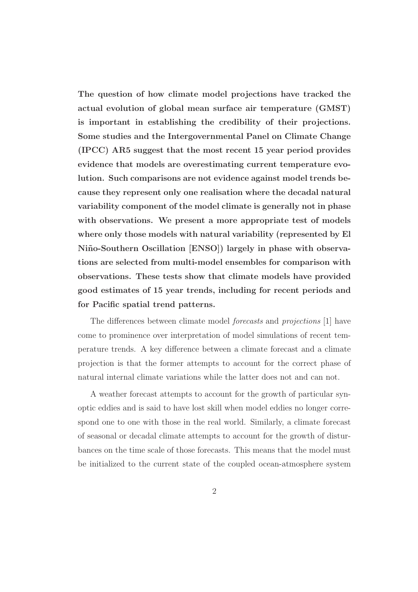The question of how climate model projections have tracked the actual evolution of global mean surface air temperature (GMST) is important in establishing the credibility of their projections. Some studies and the Intergovernmental Panel on Climate Change (IPCC) AR5 suggest that the most recent 15 year period provides evidence that models are overestimating current temperature evolution. Such comparisons are not evidence against model trends because they represent only one realisation where the decadal natural variability component of the model climate is generally not in phase with observations. We present a more appropriate test of models where only those models with natural variability (represented by El Niño-Southern Oscillation [ENSO]) largely in phase with observations are selected from multi-model ensembles for comparison with observations. These tests show that climate models have provided good estimates of 15 year trends, including for recent periods and for Pacific spatial trend patterns.

The differences between climate model *forecasts* and *projections* [1] have come to prominence over interpretation of model simulations of recent temperature trends. A key difference between a climate forecast and a climate projection is that the former attempts to account for the correct phase of natural internal climate variations while the latter does not and can not.

A weather forecast attempts to account for the growth of particular synoptic eddies and is said to have lost skill when model eddies no longer correspond one to one with those in the real world. Similarly, a climate forecast of seasonal or decadal climate attempts to account for the growth of disturbances on the time scale of those forecasts. This means that the model must be initialized to the current state of the coupled ocean-atmosphere system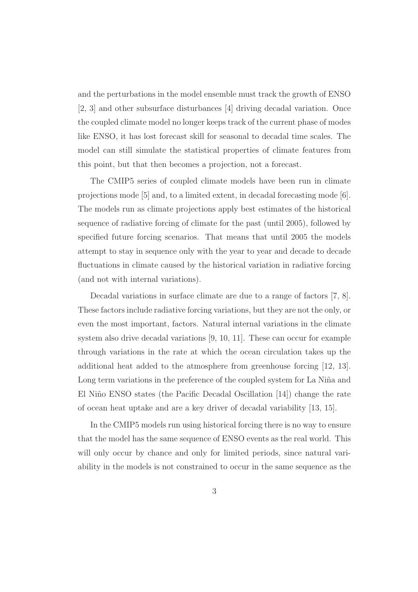and the perturbations in the model ensemble must track the growth of ENSO [2, 3] and other subsurface disturbances [4] driving decadal variation. Once the coupled climate model no longer keeps track of the current phase of modes like ENSO, it has lost forecast skill for seasonal to decadal time scales. The model can still simulate the statistical properties of climate features from this point, but that then becomes a projection, not a forecast.

The CMIP5 series of coupled climate models have been run in climate projections mode [5] and, to a limited extent, in decadal forecasting mode [6]. The models run as climate projections apply best estimates of the historical sequence of radiative forcing of climate for the past (until 2005), followed by specified future forcing scenarios. That means that until 2005 the models attempt to stay in sequence only with the year to year and decade to decade fluctuations in climate caused by the historical variation in radiative forcing (and not with internal variations).

Decadal variations in surface climate are due to a range of factors [7, 8]. These factors include radiative forcing variations, but they are not the only, or even the most important, factors. Natural internal variations in the climate system also drive decadal variations [9, 10, 11]. These can occur for example through variations in the rate at which the ocean circulation takes up the additional heat added to the atmosphere from greenhouse forcing [12, 13]. Long term variations in the preference of the coupled system for La Niña and El Niño ENSO states (the Pacific Decadal Oscillation [14]) change the rate of ocean heat uptake and are a key driver of decadal variability [13, 15].

In the CMIP5 models run using historical forcing there is no way to ensure that the model has the same sequence of ENSO events as the real world. This will only occur by chance and only for limited periods, since natural variability in the models is not constrained to occur in the same sequence as the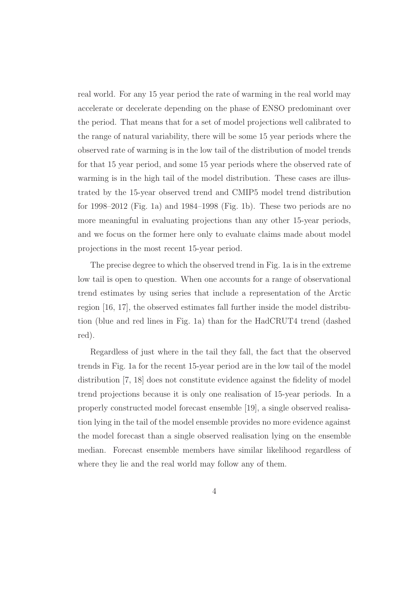real world. For any 15 year period the rate of warming in the real world may accelerate or decelerate depending on the phase of ENSO predominant over the period. That means that for a set of model projections well calibrated to the range of natural variability, there will be some 15 year periods where the observed rate of warming is in the low tail of the distribution of model trends for that 15 year period, and some 15 year periods where the observed rate of warming is in the high tail of the model distribution. These cases are illustrated by the 15-year observed trend and CMIP5 model trend distribution for 1998–2012 (Fig. 1a) and 1984–1998 (Fig. 1b). These two periods are no more meaningful in evaluating projections than any other 15-year periods, and we focus on the former here only to evaluate claims made about model projections in the most recent 15-year period.

The precise degree to which the observed trend in Fig. 1a is in the extreme low tail is open to question. When one accounts for a range of observational trend estimates by using series that include a representation of the Arctic region [16, 17], the observed estimates fall further inside the model distribution (blue and red lines in Fig. 1a) than for the HadCRUT4 trend (dashed red).

Regardless of just where in the tail they fall, the fact that the observed trends in Fig. 1a for the recent 15-year period are in the low tail of the model distribution [7, 18] does not constitute evidence against the fidelity of model trend projections because it is only one realisation of 15-year periods. In a properly constructed model forecast ensemble [19], a single observed realisation lying in the tail of the model ensemble provides no more evidence against the model forecast than a single observed realisation lying on the ensemble median. Forecast ensemble members have similar likelihood regardless of where they lie and the real world may follow any of them.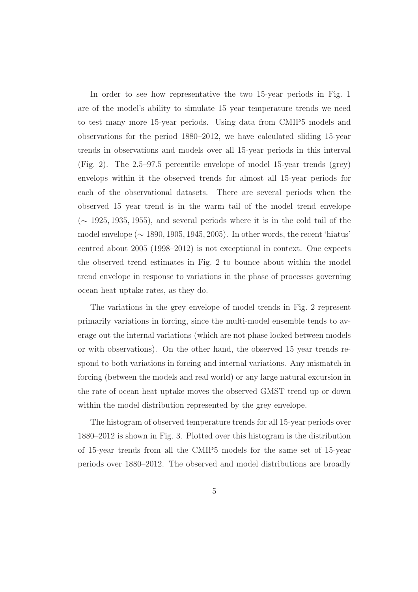In order to see how representative the two 15-year periods in Fig. 1 are of the model's ability to simulate 15 year temperature trends we need to test many more 15-year periods. Using data from CMIP5 models and observations for the period 1880–2012, we have calculated sliding 15-year trends in observations and models over all 15-year periods in this interval (Fig. 2). The 2.5–97.5 percentile envelope of model 15-year trends (grey) envelops within it the observed trends for almost all 15-year periods for each of the observational datasets. There are several periods when the observed 15 year trend is in the warm tail of the model trend envelope  $({\sim 1925, 1935, 1955})$ , and several periods where it is in the cold tail of the model envelope (∼ 1890, 1905, 1945, 2005). In other words, the recent 'hiatus' centred about 2005 (1998–2012) is not exceptional in context. One expects the observed trend estimates in Fig. 2 to bounce about within the model trend envelope in response to variations in the phase of processes governing ocean heat uptake rates, as they do.

The variations in the grey envelope of model trends in Fig. 2 represent primarily variations in forcing, since the multi-model ensemble tends to average out the internal variations (which are not phase locked between models or with observations). On the other hand, the observed 15 year trends respond to both variations in forcing and internal variations. Any mismatch in forcing (between the models and real world) or any large natural excursion in the rate of ocean heat uptake moves the observed GMST trend up or down within the model distribution represented by the grey envelope.

The histogram of observed temperature trends for all 15-year periods over 1880–2012 is shown in Fig. 3. Plotted over this histogram is the distribution of 15-year trends from all the CMIP5 models for the same set of 15-year periods over 1880–2012. The observed and model distributions are broadly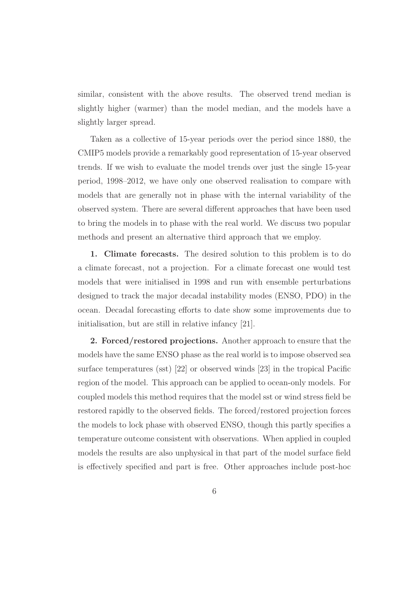similar, consistent with the above results. The observed trend median is slightly higher (warmer) than the model median, and the models have a slightly larger spread.

Taken as a collective of 15-year periods over the period since 1880, the CMIP5 models provide a remarkably good representation of 15-year observed trends. If we wish to evaluate the model trends over just the single 15-year period, 1998–2012, we have only one observed realisation to compare with models that are generally not in phase with the internal variability of the observed system. There are several different approaches that have been used to bring the models in to phase with the real world. We discuss two popular methods and present an alternative third approach that we employ.

1. Climate forecasts. The desired solution to this problem is to do a climate forecast, not a projection. For a climate forecast one would test models that were initialised in 1998 and run with ensemble perturbations designed to track the major decadal instability modes (ENSO, PDO) in the ocean. Decadal forecasting efforts to date show some improvements due to initialisation, but are still in relative infancy [21].

2. Forced/restored projections. Another approach to ensure that the models have the same ENSO phase as the real world is to impose observed sea surface temperatures (sst) [22] or observed winds [23] in the tropical Pacific region of the model. This approach can be applied to ocean-only models. For coupled models this method requires that the model sst or wind stress field be restored rapidly to the observed fields. The forced/restored projection forces the models to lock phase with observed ENSO, though this partly specifies a temperature outcome consistent with observations. When applied in coupled models the results are also unphysical in that part of the model surface field is effectively specified and part is free. Other approaches include post-hoc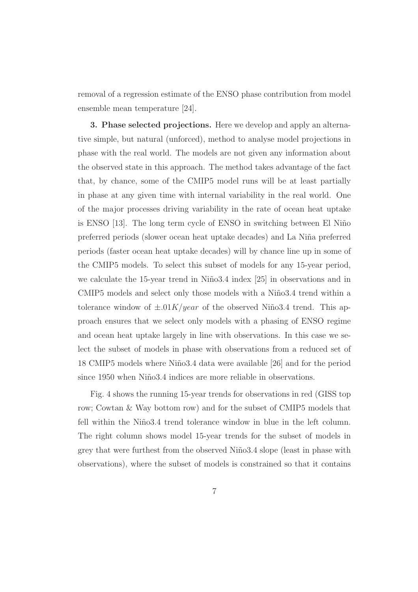removal of a regression estimate of the ENSO phase contribution from model ensemble mean temperature [24].

3. Phase selected projections. Here we develop and apply an alternative simple, but natural (unforced), method to analyse model projections in phase with the real world. The models are not given any information about the observed state in this approach. The method takes advantage of the fact that, by chance, some of the CMIP5 model runs will be at least partially in phase at any given time with internal variability in the real world. One of the major processes driving variability in the rate of ocean heat uptake is ENSO [13]. The long term cycle of ENSO in switching between El Niño preferred periods (slower ocean heat uptake decades) and La Ni˜na preferred periods (faster ocean heat uptake decades) will by chance line up in some of the CMIP5 models. To select this subset of models for any 15-year period, we calculate the 15-year trend in Niño3.4 index  $[25]$  in observations and in CMIP5 models and select only those models with a Niño3.4 trend within a tolerance window of  $\pm .01K/year$  of the observed Niño3.4 trend. This approach ensures that we select only models with a phasing of ENSO regime and ocean heat uptake largely in line with observations. In this case we select the subset of models in phase with observations from a reduced set of 18 CMIP5 models where Niño 3.4 data were available [26] and for the period since 1950 when Niño3.4 indices are more reliable in observations.

Fig. 4 shows the running 15-year trends for observations in red (GISS top row; Cowtan & Way bottom row) and for the subset of CMIP5 models that fell within the Niño3.4 trend tolerance window in blue in the left column. The right column shows model 15-year trends for the subset of models in grey that were furthest from the observed Niño3.4 slope (least in phase with observations), where the subset of models is constrained so that it contains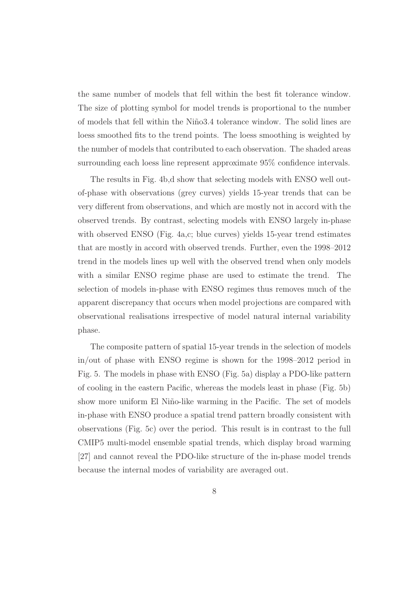the same number of models that fell within the best fit tolerance window. The size of plotting symbol for model trends is proportional to the number of models that fell within the Niño3.4 tolerance window. The solid lines are loess smoothed fits to the trend points. The loess smoothing is weighted by the number of models that contributed to each observation. The shaded areas surrounding each loess line represent approximate 95% confidence intervals.

The results in Fig. 4b,d show that selecting models with ENSO well outof-phase with observations (grey curves) yields 15-year trends that can be very different from observations, and which are mostly not in accord with the observed trends. By contrast, selecting models with ENSO largely in-phase with observed ENSO (Fig. 4a,c; blue curves) yields 15-year trend estimates that are mostly in accord with observed trends. Further, even the 1998–2012 trend in the models lines up well with the observed trend when only models with a similar ENSO regime phase are used to estimate the trend. The selection of models in-phase with ENSO regimes thus removes much of the apparent discrepancy that occurs when model projections are compared with observational realisations irrespective of model natural internal variability phase.

The composite pattern of spatial 15-year trends in the selection of models in/out of phase with ENSO regime is shown for the 1998–2012 period in Fig. 5. The models in phase with ENSO (Fig. 5a) display a PDO-like pattern of cooling in the eastern Pacific, whereas the models least in phase (Fig. 5b) show more uniform El Niño-like warming in the Pacific. The set of models in-phase with ENSO produce a spatial trend pattern broadly consistent with observations (Fig. 5c) over the period. This result is in contrast to the full CMIP5 multi-model ensemble spatial trends, which display broad warming [27] and cannot reveal the PDO-like structure of the in-phase model trends because the internal modes of variability are averaged out.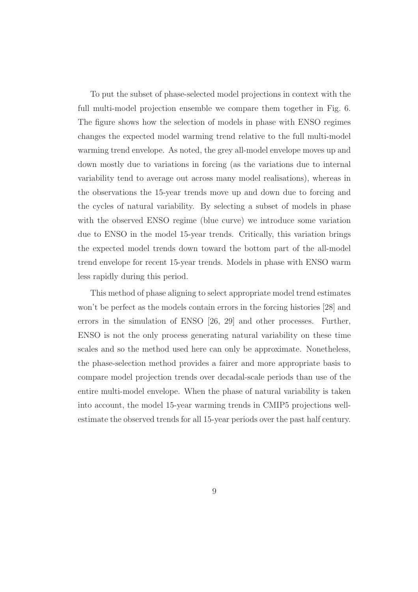To put the subset of phase-selected model projections in context with the full multi-model projection ensemble we compare them together in Fig. 6. The figure shows how the selection of models in phase with ENSO regimes changes the expected model warming trend relative to the full multi-model warming trend envelope. As noted, the grey all-model envelope moves up and down mostly due to variations in forcing (as the variations due to internal variability tend to average out across many model realisations), whereas in the observations the 15-year trends move up and down due to forcing and the cycles of natural variability. By selecting a subset of models in phase with the observed ENSO regime (blue curve) we introduce some variation due to ENSO in the model 15-year trends. Critically, this variation brings the expected model trends down toward the bottom part of the all-model trend envelope for recent 15-year trends. Models in phase with ENSO warm less rapidly during this period.

This method of phase aligning to select appropriate model trend estimates won't be perfect as the models contain errors in the forcing histories [28] and errors in the simulation of ENSO [26, 29] and other processes. Further, ENSO is not the only process generating natural variability on these time scales and so the method used here can only be approximate. Nonetheless, the phase-selection method provides a fairer and more appropriate basis to compare model projection trends over decadal-scale periods than use of the entire multi-model envelope. When the phase of natural variability is taken into account, the model 15-year warming trends in CMIP5 projections wellestimate the observed trends for all 15-year periods over the past half century.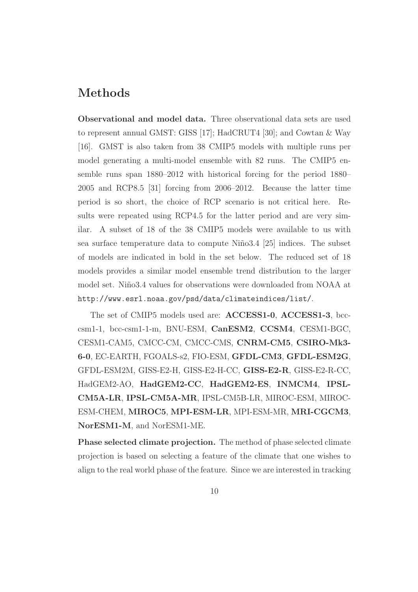## Methods

Observational and model data. Three observational data sets are used to represent annual GMST: GISS [17]; HadCRUT4 [30]; and Cowtan & Way [16]. GMST is also taken from 38 CMIP5 models with multiple runs per model generating a multi-model ensemble with 82 runs. The CMIP5 ensemble runs span 1880–2012 with historical forcing for the period 1880– 2005 and RCP8.5 [31] forcing from 2006–2012. Because the latter time period is so short, the choice of RCP scenario is not critical here. Results were repeated using RCP4.5 for the latter period and are very similar. A subset of 18 of the 38 CMIP5 models were available to us with sea surface temperature data to compute Niño 3.4 [25] indices. The subset of models are indicated in bold in the set below. The reduced set of 18 models provides a similar model ensemble trend distribution to the larger model set. Niño3.4 values for observations were downloaded from NOAA at http://www.esrl.noaa.gov/psd/data/climateindices/list/.

The set of CMIP5 models used are: ACCESS1-0, ACCESS1-3, bcccsm1-1, bcc-csm1-1-m, BNU-ESM, CanESM2, CCSM4, CESM1-BGC, CESM1-CAM5, CMCC-CM, CMCC-CMS, CNRM-CM5, CSIRO-Mk3- 6-0, EC-EARTH, FGOALS-s2, FIO-ESM, GFDL-CM3, GFDL-ESM2G, GFDL-ESM2M, GISS-E2-H, GISS-E2-H-CC, GISS-E2-R, GISS-E2-R-CC, HadGEM2-AO, HadGEM2-CC, HadGEM2-ES, INMCM4, IPSL-CM5A-LR, IPSL-CM5A-MR, IPSL-CM5B-LR, MIROC-ESM, MIROC-ESM-CHEM, MIROC5, MPI-ESM-LR, MPI-ESM-MR, MRI-CGCM3, NorESM1-M, and NorESM1-ME.

Phase selected climate projection. The method of phase selected climate projection is based on selecting a feature of the climate that one wishes to align to the real world phase of the feature. Since we are interested in tracking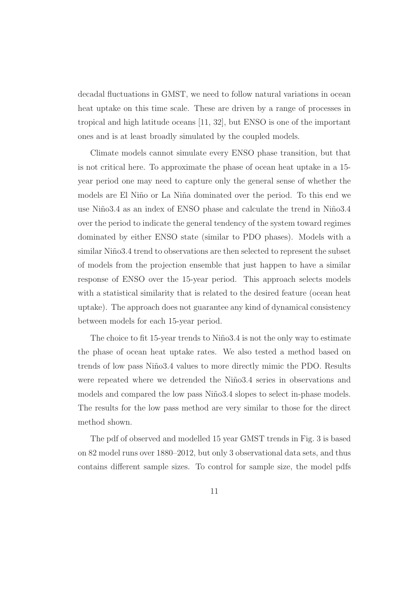decadal fluctuations in GMST, we need to follow natural variations in ocean heat uptake on this time scale. These are driven by a range of processes in tropical and high latitude oceans [11, 32], but ENSO is one of the important ones and is at least broadly simulated by the coupled models.

Climate models cannot simulate every ENSO phase transition, but that is not critical here. To approximate the phase of ocean heat uptake in a 15 year period one may need to capture only the general sense of whether the models are El Niño or La Niña dominated over the period. To this end we use Niño3.4 as an index of ENSO phase and calculate the trend in Niño3.4 over the period to indicate the general tendency of the system toward regimes dominated by either ENSO state (similar to PDO phases). Models with a similar Niño3.4 trend to observations are then selected to represent the subset of models from the projection ensemble that just happen to have a similar response of ENSO over the 15-year period. This approach selects models with a statistical similarity that is related to the desired feature (ocean heat uptake). The approach does not guarantee any kind of dynamical consistency between models for each 15-year period.

The choice to fit 15-year trends to Niño 3.4 is not the only way to estimate the phase of ocean heat uptake rates. We also tested a method based on trends of low pass Niño 3.4 values to more directly mimic the PDO. Results were repeated where we detrended the Niño3.4 series in observations and models and compared the low pass Niño3.4 slopes to select in-phase models. The results for the low pass method are very similar to those for the direct method shown.

The pdf of observed and modelled 15 year GMST trends in Fig. 3 is based on 82 model runs over 1880–2012, but only 3 observational data sets, and thus contains different sample sizes. To control for sample size, the model pdfs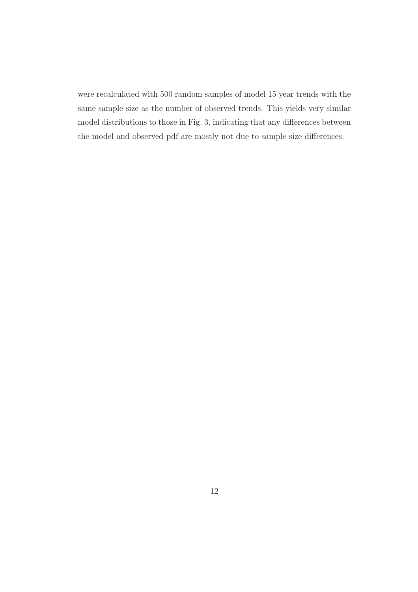were recalculated with 500 random samples of model 15 year trends with the same sample size as the number of observed trends. This yields very similar model distributions to those in Fig. 3, indicating that any differences between the model and observed pdf are mostly not due to sample size differences.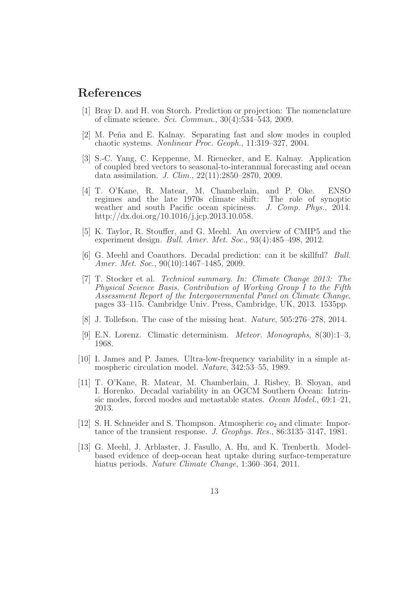### References

- [1] Bray D. and H. von Storch. Prediction or projection: The nomenclature of climate science. *Sci. Commun.*, 30(4):534–543, 2009.
- [2] M. Peña and E. Kalnay. Separating fast and slow modes in coupled chaotic systems. *Nonlinear Proc. Geoph.*, 11:319–327, 2004.
- [3] S.-C. Yang, C. Keppenne, M. Rienecker, and E. Kalnay. Application of coupled bred vectors to seasonal-to-interannual forecasting and ocean data assimilation. *J. Clim.*, 22(11):2850–2870, 2009.
- [4] T. O'Kane, R. Matear, M. Chamberlain, and P. Oke. ENSO regimes and the late 1970s climate shift: The role of synoptic weather and south Pacific ocean spiciness.  $J. Comp. Phys., 2014.$ weather and south Pacific ocean spiciness. http://dx.doi.org/10.1016/j.jcp.2013.10.058.
- [5] K. Taylor, R. Stouffer, and G. Meehl. An overview of CMIP5 and the experiment design. *Bull. Amer. Met. Soc.*, 93(4):485–498, 2012.
- [6] G. Meehl and Coauthors. Decadal prediction: can it be skillful? *Bull. Amer. Met. Soc.*, 90(10):1467–1485, 2009.
- [7] T. Stocker et al. *Technical summary. In: Climate Change 2013: The Physical Science Basis. Contribution of Working Group I to the Fifth Assessment Report of the Intergovernmental Panel on Climate Change*, pages 33–115. Cambridge Univ. Press, Cambridge, UK, 2013. 1535pp.
- [8] J. Tollefson. The case of the missing heat. *Nature*, 505:276–278, 2014.
- [9] E.N. Lorenz. Climatic determinism. *Meteor. Monographs*, 8(30):1–3, 1968.
- [10] I. James and P. James. Ultra-low-frequency variability in a simple atmospheric circulation model. *Nature*, 342:53–55, 1989.
- [11] T. O'Kane, R. Matear, M. Chamberlain, J. Risbey, B. Sloyan, and I. Horenko. Decadal variability in an OGCM Southern Ocean: Intrinsic modes, forced modes and metastable states. *Ocean Model.*, 69:1–21, 2013.
- [12] S. H. Schneider and S. Thompson. Atmospheric  $\omega_2$  and climate: Importance of the transient response. *J. Geophys. Res.*, 86:3135–3147, 1981.
- [13] G. Meehl, J. Arblaster, J. Fasullo, A. Hu, and K. Trenberth. Modelbased evidence of deep-ocean heat uptake during surface-temperature hiatus periods. *Nature Climate Change*, 1:360–364, 2011.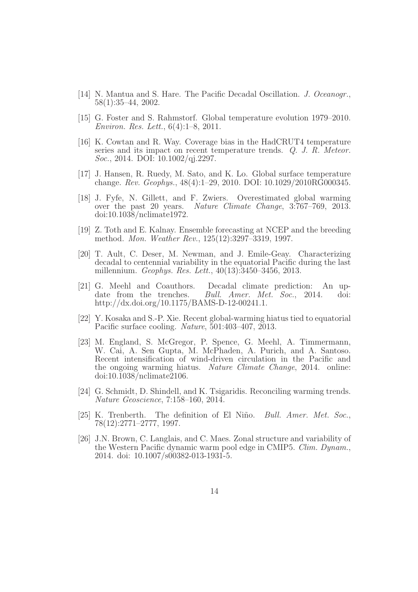- [14] N. Mantua and S. Hare. The Pacific Decadal Oscillation. *J. Oceanogr.*, 58(1):35–44, 2002.
- [15] G. Foster and S. Rahmstorf. Global temperature evolution 1979–2010. *Environ. Res. Lett.*, 6(4):1–8, 2011.
- [16] K. Cowtan and R. Way. Coverage bias in the HadCRUT4 temperature series and its impact on recent temperature trends. *Q. J. R. Meteor. Soc.*, 2014. DOI: 10.1002/qj.2297.
- [17] J. Hansen, R. Ruedy, M. Sato, and K. Lo. Global surface temperature change. *Rev. Geophys.*, 48(4):1–29, 2010. DOI: 10.1029/2010RG000345.
- [18] J. Fyfe, N. Gillett, and F. Zwiers. Overestimated global warming over the past 20 years. *Nature Climate Change*, 3:767–769, 2013. doi:10.1038/nclimate1972.
- [19] Z. Toth and E. Kalnay. Ensemble forecasting at NCEP and the breeding method. *Mon. Weather Rev.*, 125(12):3297–3319, 1997.
- [20] T. Ault, C. Deser, M. Newman, and J. Emile-Geay. Characterizing decadal to centennial variability in the equatorial Pacific during the last millennium. *Geophys. Res. Lett.*, 40(13):3450–3456, 2013.
- [21] G. Meehl and Coauthors. Decadal climate prediction: An update from the trenches. *Bull. Amer. Met. Soc.*, 2014. doi: http://dx.doi.org/10.1175/BAMS-D-12-00241.1.
- [22] Y. Kosaka and S.-P. Xie. Recent global-warming hiatus tied to equatorial Pacific surface cooling. *Nature*, 501:403–407, 2013.
- [23] M. England, S. McGregor, P. Spence, G. Meehl, A. Timmermann, W. Cai, A. Sen Gupta, M. McPhaden, A. Purich, and A. Santoso. Recent intensification of wind-driven circulation in the Pacific and the ongoing warming hiatus. *Nature Climate Change*, 2014. online: doi:10.1038/nclimate2106.
- [24] G. Schmidt, D. Shindell, and K. Tsigaridis. Reconciling warming trends. *Nature Geoscience*, 7:158–160, 2014.
- [25] K. Trenberth. The definition of El Niño. *Bull. Amer. Met. Soc.*, 78(12):2771–2777, 1997.
- [26] J.N. Brown, C. Langlais, and C. Maes. Zonal structure and variability of the Western Pacific dynamic warm pool edge in CMIP5. *Clim. Dynam.*, 2014. doi: 10.1007/s00382-013-1931-5.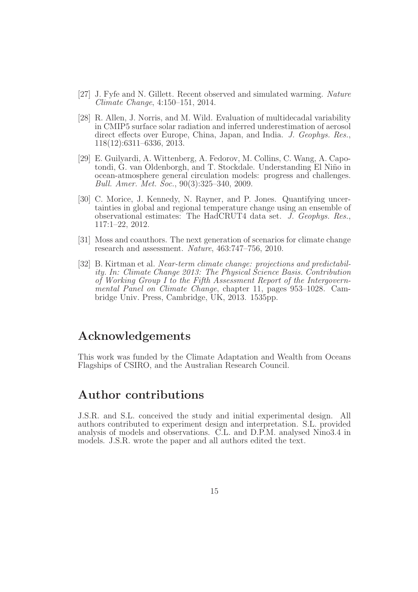- [27] J. Fyfe and N. Gillett. Recent observed and simulated warming. *Nature Climate Change*, 4:150–151, 2014.
- [28] R. Allen, J. Norris, and M. Wild. Evaluation of multidecadal variability in CMIP5 surface solar radiation and inferred underestimation of aerosol direct effects over Europe, China, Japan, and India. *J. Geophys. Res.*, 118(12):6311–6336, 2013.
- [29] E. Guilyardi, A. Wittenberg, A. Fedorov, M. Collins, C. Wang, A. Capotondi, G. van Oldenborgh, and T. Stockdale. Understanding El Niño in ocean-atmosphere general circulation models: progress and challenges. *Bull. Amer. Met. Soc.*, 90(3):325–340, 2009.
- [30] C. Morice, J. Kennedy, N. Rayner, and P. Jones. Quantifying uncertainties in global and regional temperature change using an ensemble of observational estimates: The HadCRUT4 data set. *J. Geophys. Res.*, 117:1–22, 2012.
- [31] Moss and coauthors. The next generation of scenarios for climate change research and assessment. *Nature*, 463:747–756, 2010.
- [32] B. Kirtman et al. *Near-term climate change: projections and predictability. In: Climate Change 2013: The Physical Science Basis. Contribution of Working Group I to the Fifth Assessment Report of the Intergovernmental Panel on Climate Change*, chapter 11, pages 953–1028. Cambridge Univ. Press, Cambridge, UK, 2013. 1535pp.

#### Acknowledgements

This work was funded by the Climate Adaptation and Wealth from Oceans Flagships of CSIRO, and the Australian Research Council.

#### Author contributions

J.S.R. and S.L. conceived the study and initial experimental design. All authors contributed to experiment design and interpretation. S.L. provided analysis of models and observations. C.L. and D.P.M. analysed Nino3.4 in models. J.S.R. wrote the paper and all authors edited the text.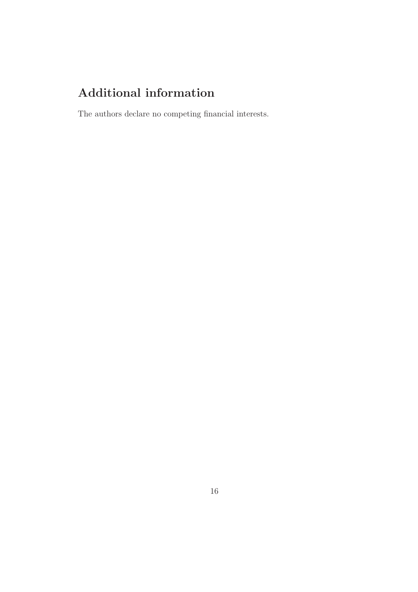# Additional information

The authors declare no competing financial interests.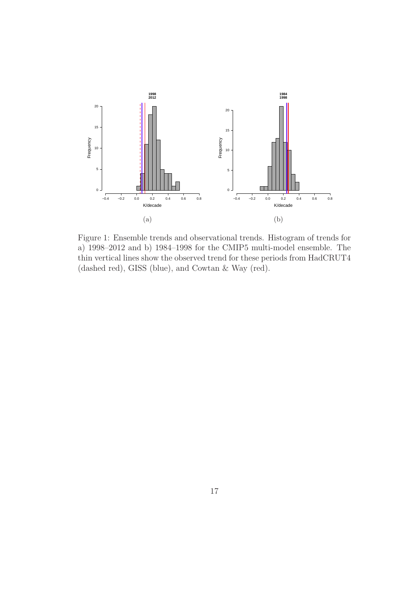

Figure 1: Ensemble trends and observational trends. Histogram of trends for a) 1998–2012 and b) 1984–1998 for the CMIP5 multi-model ensemble. The thin vertical lines show the observed trend for these periods from HadCRUT4 (dashed red), GISS (blue), and Cowtan & Way (red).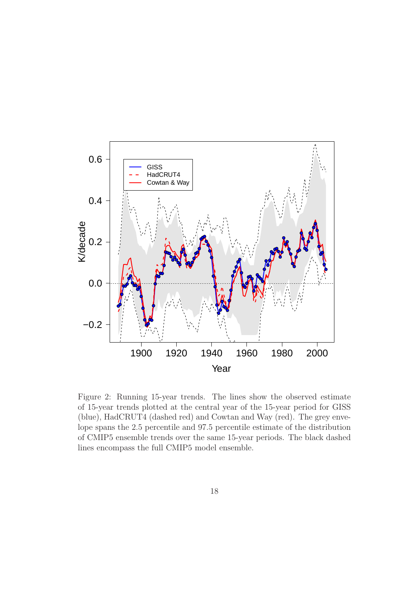

Figure 2: Running 15-year trends. The lines show the observed estimate of 15-year trends plotted at the central year of the 15-year period for GISS (blue), HadCRUT4 (dashed red) and Cowtan and Way (red). The grey envelope spans the 2.5 percentile and 97.5 percentile estimate of the distribution of CMIP5 ensemble trends over the same 15-year periods. The black dashed lines encompass the full CMIP5 model ensemble.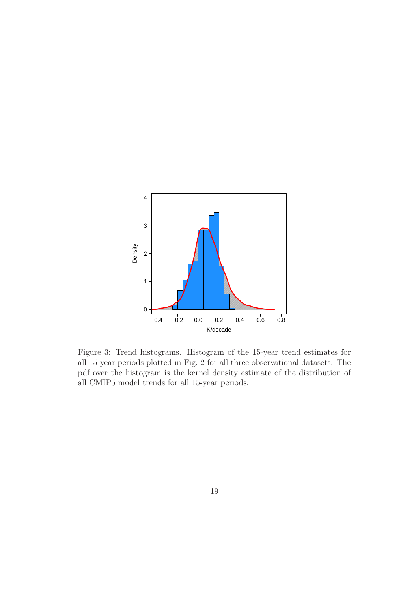

Figure 3: Trend histograms. Histogram of the 15-year trend estimates for all 15-year periods plotted in Fig. 2 for all three observational datasets. The pdf over the histogram is the kernel density estimate of the distribution of all CMIP5 model trends for all 15-year periods.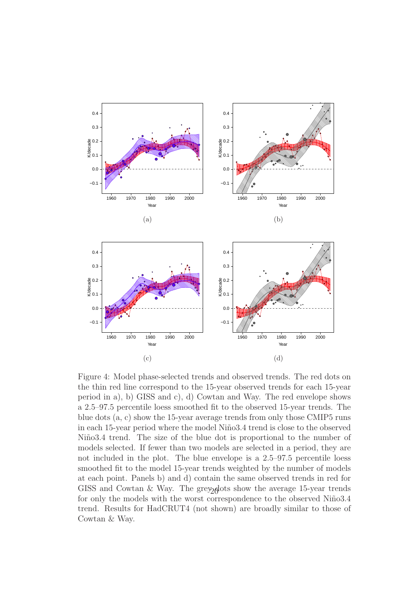

Figure 4: Model phase-selected trends and observed trends. The red dots on the thin red line correspond to the 15-year observed trends for each 15-year period in a), b) GISS and c), d) Cowtan and Way. The red envelope shows a 2.5–97.5 percentile loess smoothed fit to the observed 15-year trends. The blue dots (a, c) show the 15-year average trends from only those CMIP5 runs in each 15-year period where the model Niño3.4 trend is close to the observed Niño3.4 trend. The size of the blue dot is proportional to the number of models selected. If fewer than two models are selected in a period, they are not included in the plot. The blue envelope is a 2.5–97.5 percentile loess smoothed fit to the model 15-year trends weighted by the number of models at each point. Panels b) and d) contain the same observed trends in red for GISS and Cowtan  $\&$  Way. The grey older show the average 15-year trends for only the models with the worst correspondence to the observed Niño3.4 trend. Results for HadCRUT4 (not shown) are broadly similar to those of Cowtan & Way.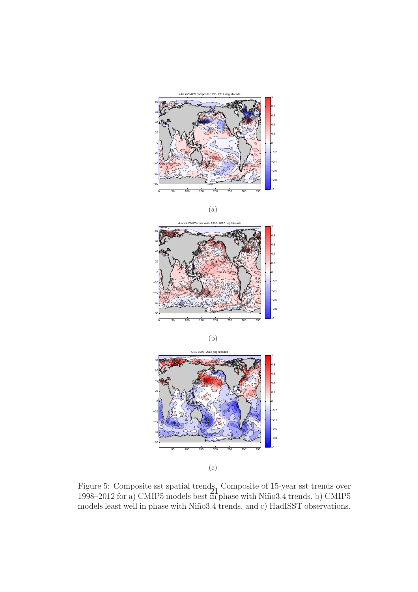









(c)

Figure 5: Composite sst spatial trends, Composite of 15-year sst trends over 1998–2012 for a) CMIP5 models best in phase with Niño3.4 trends, b) CMIP5 models least well in phase with Niño3.4 trends, and c) HadISST observations.